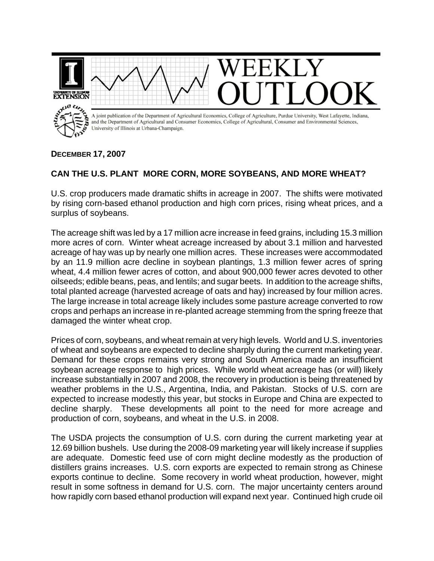

## **DECEMBER 17, 2007**

## **CAN THE U.S. PLANT MORE CORN, MORE SOYBEANS, AND MORE WHEAT?**

U.S. crop producers made dramatic shifts in acreage in 2007. The shifts were motivated by rising corn-based ethanol production and high corn prices, rising wheat prices, and a surplus of soybeans.

The acreage shift was led by a 17 million acre increase in feed grains, including 15.3 million more acres of corn. Winter wheat acreage increased by about 3.1 million and harvested acreage of hay was up by nearly one million acres. These increases were accommodated by an 11.9 million acre decline in soybean plantings, 1.3 million fewer acres of spring wheat, 4.4 million fewer acres of cotton, and about 900,000 fewer acres devoted to other oilseeds; edible beans, peas, and lentils; and sugar beets. In addition to the acreage shifts, total planted acreage (harvested acreage of oats and hay) increased by four million acres. The large increase in total acreage likely includes some pasture acreage converted to row crops and perhaps an increase in re-planted acreage stemming from the spring freeze that damaged the winter wheat crop.

Prices of corn, soybeans, and wheat remain at very high levels. World and U.S. inventories of wheat and soybeans are expected to decline sharply during the current marketing year. Demand for these crops remains very strong and South America made an insufficient soybean acreage response to high prices. While world wheat acreage has (or will) likely increase substantially in 2007 and 2008, the recovery in production is being threatened by weather problems in the U.S., Argentina, India, and Pakistan. Stocks of U.S. corn are expected to increase modestly this year, but stocks in Europe and China are expected to decline sharply. These developments all point to the need for more acreage and production of corn, soybeans, and wheat in the U.S. in 2008.

The USDA projects the consumption of U.S. corn during the current marketing year at 12.69 billion bushels. Use during the 2008-09 marketing year will likely increase if supplies are adequate. Domestic feed use of corn might decline modestly as the production of distillers grains increases. U.S. corn exports are expected to remain strong as Chinese exports continue to decline. Some recovery in world wheat production, however, might result in some softness in demand for U.S. corn. The major uncertainty centers around how rapidly corn based ethanol production will expand next year. Continued high crude oil